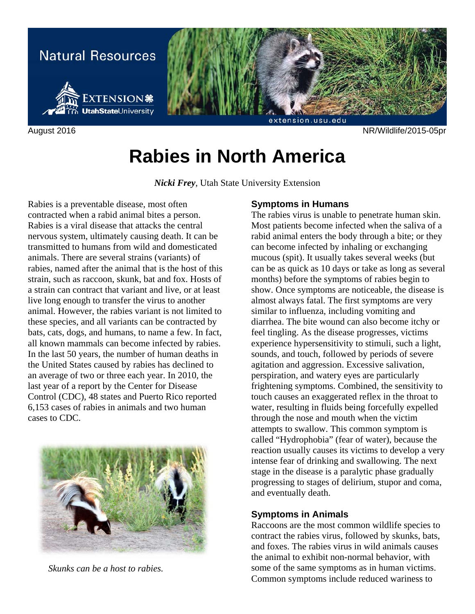

August 2016 NR/Wildlife/2015-05pr

# **Rabies in North America**

*Nicki Frey*, Utah State University Extension

Rabies is a preventable disease, most often contracted when a rabid animal bites a person. Rabies is a viral disease that attacks the central nervous system, ultimately causing death. It can be transmitted to humans from wild and domesticated animals. There are several strains (variants) of rabies, named after the animal that is the host of this strain, such as raccoon, skunk, bat and fox. Hosts of a strain can contract that variant and live, or at least live long enough to transfer the virus to another animal. However, the rabies variant is not limited to these species, and all variants can be contracted by bats, cats, dogs, and humans, to name a few. In fact, all known mammals can become infected by rabies. In the last 50 years, the number of human deaths in the United States caused by rabies has declined to an average of two or three each year. In 2010, the last year of a report by the Center for Disease Control (CDC), 48 states and Puerto Rico reported 6,153 cases of rabies in animals and two human cases to CDC.



 *Skunks can be a host to rabies.* 

## **Symptoms in Humans**

The rabies virus is unable to penetrate human skin. Most patients become infected when the saliva of a rabid animal enters the body through a bite; or they can become infected by inhaling or exchanging mucous (spit). It usually takes several weeks (but can be as quick as 10 days or take as long as several months) before the symptoms of rabies begin to show. Once symptoms are noticeable, the disease is almost always fatal. The first symptoms are very similar to influenza, including vomiting and diarrhea. The bite wound can also become itchy or feel tingling. As the disease progresses, victims experience hypersensitivity to stimuli, such a light, sounds, and touch, followed by periods of severe agitation and aggression. Excessive salivation, perspiration, and watery eyes are particularly frightening symptoms. Combined, the sensitivity to touch causes an exaggerated reflex in the throat to water, resulting in fluids being forcefully expelled through the nose and mouth when the victim attempts to swallow. This common symptom is called "Hydrophobia" (fear of water), because the reaction usually causes its victims to develop a very intense fear of drinking and swallowing. The next stage in the disease is a paralytic phase gradually progressing to stages of delirium, stupor and coma, and eventually death.

#### **Symptoms in Animals**

Raccoons are the most common wildlife species to contract the rabies virus, followed by skunks, bats, and foxes. The rabies virus in wild animals causes the animal to exhibit non-normal behavior, with some of the same symptoms as in human victims. Common symptoms include reduced wariness to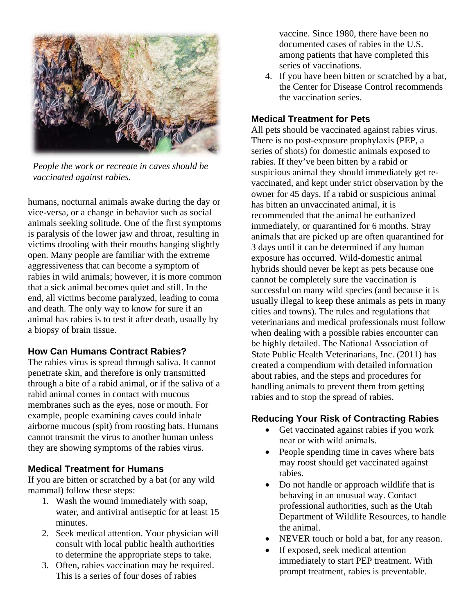

*People the work or recreate in caves should be vaccinated against rabies.* 

humans, nocturnal animals awake during the day or vice-versa, or a change in behavior such as social animals seeking solitude. One of the first symptoms is paralysis of the lower jaw and throat, resulting in victims drooling with their mouths hanging slightly open. Many people are familiar with the extreme aggressiveness that can become a symptom of rabies in wild animals; however, it is more common that a sick animal becomes quiet and still. In the end, all victims become paralyzed, leading to coma and death. The only way to know for sure if an animal has rabies is to test it after death, usually by a biopsy of brain tissue.

# **How Can Humans Contract Rabies?**

The rabies virus is spread through saliva. It cannot penetrate skin, and therefore is only transmitted through a bite of a rabid animal, or if the saliva of a rabid animal comes in contact with mucous membranes such as the eyes, nose or mouth. For example, people examining caves could inhale airborne mucous (spit) from roosting bats. Humans cannot transmit the virus to another human unless they are showing symptoms of the rabies virus.

#### **Medical Treatment for Humans**

If you are bitten or scratched by a bat (or any wild mammal) follow these steps:

- 1. Wash the wound immediately with soap, water, and antiviral antiseptic for at least 15 minutes.
- 2. Seek medical attention. Your physician will consult with local public health authorities to determine the appropriate steps to take.
- 3. Often, rabies vaccination may be required. This is a series of four doses of rabies

vaccine. Since 1980, there have been no documented cases of rabies in the U.S. among patients that have completed this series of vaccinations.

4. If you have been bitten or scratched by a bat, the Center for Disease Control recommends the vaccination series.

#### **Medical Treatment for Pets**

All pets should be vaccinated against rabies virus. There is no post-exposure prophylaxis (PEP, a series of shots) for domestic animals exposed to rabies. If they've been bitten by a rabid or suspicious animal they should immediately get revaccinated, and kept under strict observation by the owner for 45 days. If a rabid or suspicious animal has bitten an unvaccinated animal, it is recommended that the animal be euthanized immediately, or quarantined for 6 months. Stray animals that are picked up are often quarantined for 3 days until it can be determined if any human exposure has occurred. Wild-domestic animal hybrids should never be kept as pets because one cannot be completely sure the vaccination is successful on many wild species (and because it is usually illegal to keep these animals as pets in many cities and towns). The rules and regulations that veterinarians and medical professionals must follow when dealing with a possible rabies encounter can be highly detailed. The National Association of State Public Health Veterinarians, Inc. (2011) has created a compendium with detailed information about rabies, and the steps and procedures for handling animals to prevent them from getting rabies and to stop the spread of rabies.

#### **Reducing Your Risk of Contracting Rabies**

- Get vaccinated against rabies if you work near or with wild animals.
- People spending time in caves where bats may roost should get vaccinated against rabies.
- Do not handle or approach wildlife that is behaving in an unusual way. Contact professional authorities, such as the Utah Department of Wildlife Resources, to handle the animal.
- NEVER touch or hold a bat, for any reason.
- If exposed, seek medical attention immediately to start PEP treatment. With prompt treatment, rabies is preventable.